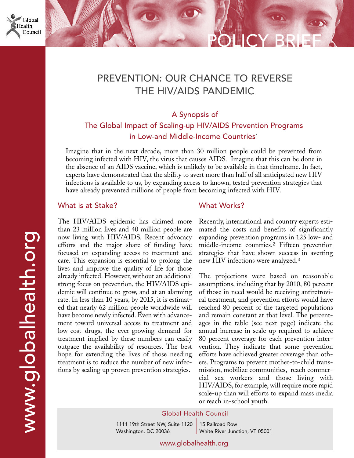

# PREVENTION: OUR CHANCE TO REVERSE THE HIV/AIDS PANDEMIC

## A Synopsis of

The Global Impact of Scaling-up HIV/AIDS Prevention Programs in Low-and Middle-Income Countries<sup>1</sup>

Imagine that in the next decade, more than 30 million people could be prevented from becoming infected with HIV, the virus that causes AIDS. Imagine that this can be done in the absence of an AIDS vaccine, which is unlikely to be available in that timeframe. In fact, experts have demonstrated that the ability to avert more than half of all anticipated new HIV infections is available to us, by expanding access to known, tested prevention strategies that have already prevented millions of people from becoming infected with HIV.

#### What is at Stake?

The HIV/AIDS epidemic has claimed more than 23 million lives and 40 million people are now living with HIV/AIDS. Recent advocacy efforts and the major share of funding have focused on expanding access to treatment and care. This expansion is essential to prolong the lives and improve the quality of life for those already infected. However, without an additional strong focus on prevention, the HIV/AIDS epidemic will continue to grow, and at an alarming rate. In less than 10 years, by 2015, it is estimated that nearly 62 million people worldwide will have become newly infected. Even with advancement toward universal access to treatment and low-cost drugs, the ever-growing demand for treatment implied by these numbers can easily outpace the availability of resources. The best hope for extending the lives of those needing treatment is to reduce the number of new infections by scaling up proven prevention strategies.

### What Works?

Recently, international and country experts estimated the costs and benefits of significantly expanding prevention programs in 125 low- and middle-income countries.<sup>2</sup> Fifteen prevention strategies that have shown success in averting new HIV infections were analyzed.<sup>3</sup>

POLICY BRIEF

The projections were based on reasonable assumptions, including that by 2010, 80 percent of those in need would be receiving antiretroviral treatment, and prevention efforts would have reached 80 percent of the targeted populations and remain constant at that level. The percentages in the table (see next page) indicate the annual increase in scale-up required to achieve 80 percent coverage for each prevention intervention. They indicate that some prevention efforts have achieved greater coverage than others. Programs to prevent mother-to-child transmission, mobilize communities, reach commercial sex workers and those living with HIV/AIDS, for example, will require more rapid scale-up than will efforts to expand mass media or reach in-school youth.

#### Global Health Council

1111 19th Street NW, Suite 1120 Washington, DC 20036

15 Railroad Row White River Junction, VT 05001

www.globalhealth.org